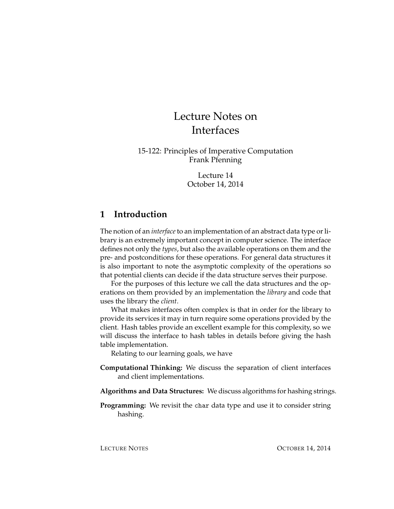# Lecture Notes on Interfaces

15-122: Principles of Imperative Computation Frank Pfenning

> Lecture 14 October 14, 2014

#### **1 Introduction**

The notion of an *interface*to an implementation of an abstract data type or library is an extremely important concept in computer science. The interface defines not only the *types*, but also the available operations on them and the pre- and postconditions for these operations. For general data structures it is also important to note the asymptotic complexity of the operations so that potential clients can decide if the data structure serves their purpose.

For the purposes of this lecture we call the data structures and the operations on them provided by an implementation the *library* and code that uses the library the *client*.

What makes interfaces often complex is that in order for the library to provide its services it may in turn require some operations provided by the client. Hash tables provide an excellent example for this complexity, so we will discuss the interface to hash tables in details before giving the hash table implementation.

Relating to our learning goals, we have

- **Computational Thinking:** We discuss the separation of client interfaces and client implementations.
- **Algorithms and Data Structures:** We discuss algorithms for hashing strings.
- **Programming:** We revisit the char data type and use it to consider string hashing.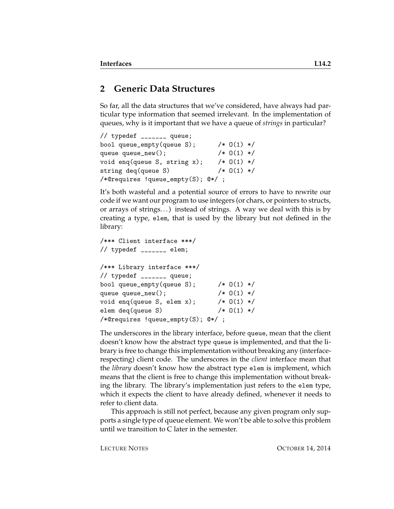#### **2 Generic Data Structures**

So far, all the data structures that we've considered, have always had particular type information that seemed irrelevant. In the implementation of queues, why is it important that we have a queue of *strings* in particular?

```
// typedef _______ queue;
bool queue_empty(queue S); /* O(1) */
queue queue_new(); /* 0(1) */void enq(queue S, string x); /* 0(1) */string deq(queue S) /* 0(1) *//*@requires !queue_empty(S); @*/ ;
```
It's both wasteful and a potential source of errors to have to rewrite our code if we want our program to use integers (or chars, or pointers to structs, or arrays of strings. . . ) instead of strings. A way we deal with this is by creating a type, elem, that is used by the library but not defined in the library:

```
/*** Client interface ***/
// typedef _______ elem;
/*** Library interface ***/
// typedef _______ queue;
bool queue_empty(queue S); /* 0(1) */queue queue_new(); \sqrt{*} 0(1) */void enq(queue S, elem x); /* 0(1) */
elem deq(queue S) /* 0(1) *//*@requires !queue_empty(S); @*/ ;
```
The underscores in the library interface, before queue, mean that the client doesn't know how the abstract type queue is implemented, and that the library is free to change this implementation without breaking any (interfacerespecting) client code. The underscores in the *client* interface mean that the *library* doesn't know how the abstract type elem is implement, which means that the client is free to change this implementation without breaking the library. The library's implementation just refers to the elem type, which it expects the client to have already defined, whenever it needs to refer to client data.

This approach is still not perfect, because any given program only supports a single type of queue element. We won't be able to solve this problem until we transition to C later in the semester.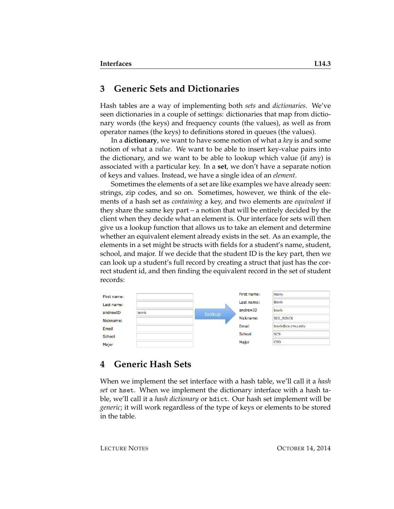#### **3 Generic Sets and Dictionaries**

Hash tables are a way of implementing both *sets* and *dictionaries*. We've seen dictionaries in a couple of settings: dictionaries that map from dictionary words (the keys) and frequency counts (the values), as well as from operator names (the keys) to definitions stored in queues (the values).

In a **dictionary**, we want to have some notion of what a *key* is and some notion of what a *value*. We want to be able to insert key-value pairs into the dictionary, and we want to be able to lookup which value (if any) is associated with a particular key. In a **set**, we don't have a separate notion of keys and values. Instead, we have a single idea of an *element*.

Sometimes the elements of a set are like examples we have already seen: strings, zip codes, and so on. Sometimes, however, we think of the elements of a hash set as *containing* a key, and two elements are *equivalent* if they share the same key part – a notion that will be entirely decided by the client when they decide what an element is. Our interface for sets will then give us a lookup function that allows us to take an element and determine whether an equivalent element already exists in the set. As an example, the elements in a set might be structs with fields for a student's name, student, school, and major. If we decide that the student ID is the key part, then we can look up a student's full record by creating a struct that just has the correct student id, and then finding the equivalent record in the set of student records:



#### **4 Generic Hash Sets**

When we implement the set interface with a hash table, we'll call it a *hash set* or hset. When we implement the dictionary interface with a hash table, we'll call it a *hash dictionary* or hdict. Our hash set implement will be *generic*; it will work regardless of the type of keys or elements to be stored in the table.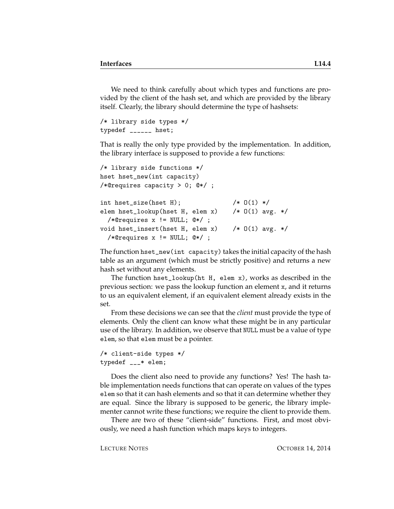We need to think carefully about which types and functions are provided by the client of the hash set, and which are provided by the library itself. Clearly, the library should determine the type of hashsets:

```
/* library side types */
typedef ______ hset;
```
That is really the only type provided by the implementation. In addition, the library interface is supposed to provide a few functions:

```
/* library side functions */
hset hset_new(int capacity)
/*@requires capacity > 0; @*/ ;
int hset_size(hset H); /* 0(1) */
elem hset_lookup(hset H, elem x) /* O(1) avg. */
 /*@requires x != NULL; @*/ ;
void hset_insert(hset H, elem x) /* 0(1) avg. *//*@requires x != NULL; @*/ ;
```
The function hset\_new(int capacity) takes the initial capacity of the hash table as an argument (which must be strictly positive) and returns a new hash set without any elements.

The function hset\_lookup(ht H, elem x), works as described in the previous section: we pass the lookup function an element x, and it returns to us an equivalent element, if an equivalent element already exists in the set.

From these decisions we can see that the *client* must provide the type of elements. Only the client can know what these might be in any particular use of the library. In addition, we observe that NULL must be a value of type elem, so that elem must be a pointer.

```
/* client-side types */
typedef ___* elem;
```
Does the client also need to provide any functions? Yes! The hash table implementation needs functions that can operate on values of the types elem so that it can hash elements and so that it can determine whether they are equal. Since the library is supposed to be generic, the library implementer cannot write these functions; we require the client to provide them.

There are two of these "client-side" functions. First, and most obviously, we need a hash function which maps keys to integers.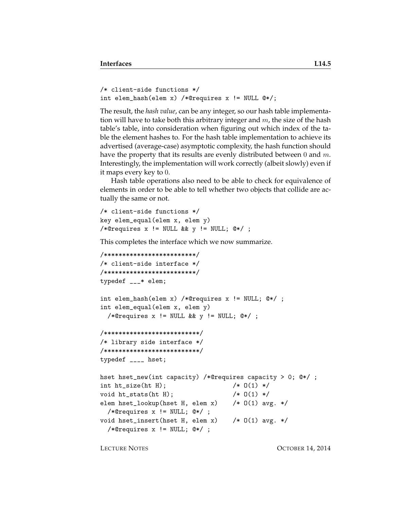```
/* client-side functions */
int elem_hash(elem x) /*@requires x != NULL @*/;
```
The result, the *hash value*, can be any integer, so our hash table implementation will have to take both this arbitrary integer and  $m$ , the size of the hash table's table, into consideration when figuring out which index of the table the element hashes to. For the hash table implementation to achieve its advertised (average-case) asymptotic complexity, the hash function should have the property that its results are evenly distributed between  $0$  and  $m$ . Interestingly, the implementation will work correctly (albeit slowly) even if it maps every key to 0.

Hash table operations also need to be able to check for equivalence of elements in order to be able to tell whether two objects that collide are actually the same or not.

```
/* client-side functions */
key elem_equal(elem x, elem y)
/*@requires x != NULL && y != NULL; @*/;
```
This completes the interface which we now summarize.

```
/*************************/
/* client-side interface */
/*************************/
typedef ___* elem;
int elem_hash(elem x) /*@requires x != NULL; @*/ ;
int elem_equal(elem x, elem y)
  /*@requires x != NULL && y != NULL; @*/ ;
/**************************/
/* library side interface */
/**************************/
typedef ____ hset;
hset hset_new(int capacity) /*@requires capacity > 0; @*/ ;
int ht_size(ht H); /* 0(1) */void ht\_stats(ht H); /* 0(1) */
elem hset_lookup(hset H, elem x) /* O(1) avg. */
  /*@requires x != NULL; @*/ ;
void hset_insert(hset H, elem x) /* O(1) avg. */
  /*@requires x != NULL; @*/ ;
```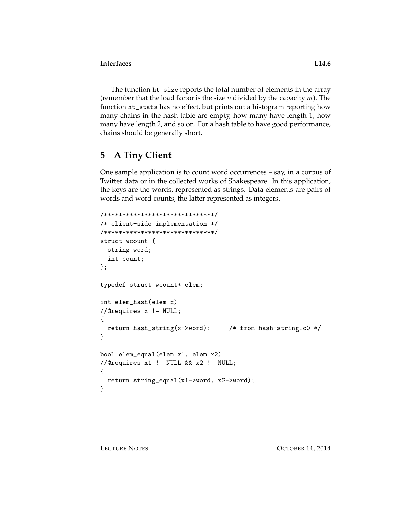The function ht\_size reports the total number of elements in the array (remember that the load factor is the size *n* divided by the capacity  $m$ ). The function ht\_stats has no effect, but prints out a histogram reporting how many chains in the hash table are empty, how many have length 1, how many have length 2, and so on. For a hash table to have good performance, chains should be generally short.

#### **5 A Tiny Client**

One sample application is to count word occurrences – say, in a corpus of Twitter data or in the collected works of Shakespeare. In this application, the keys are the words, represented as strings. Data elements are pairs of words and word counts, the latter represented as integers.

```
/******************************/
/* client-side implementation */
/******************************/
struct wcount {
  string word;
  int count;
};
typedef struct wcount* elem;
int elem_hash(elem x)
//@requires x != NULL;
{
  return hash_string(x->word); /* from hash-string.c0 */
}
bool elem_equal(elem x1, elem x2)
//@requires x1 != NULL && x2 != NULL;
{
  return string_equal(x1->word, x2->word);
}
```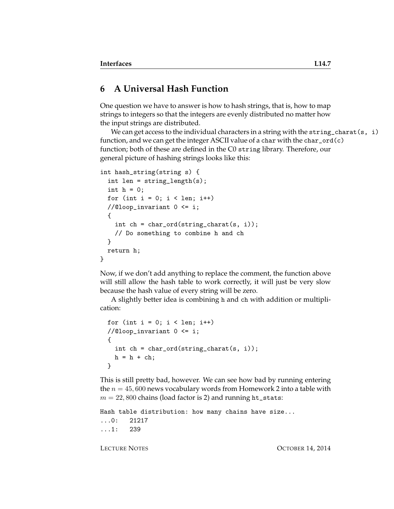## **6 A Universal Hash Function**

One question we have to answer is how to hash strings, that is, how to map strings to integers so that the integers are evenly distributed no matter how the input strings are distributed.

We can get access to the individual characters in a string with the string\_charat(s, i) function, and we can get the integer ASCII value of a char with the char\_ord(c) function; both of these are defined in the C0 string library. Therefore, our general picture of hashing strings looks like this:

```
int hash_string(string s) {
  int len = string_length(s);
  int h = 0;
  for (int i = 0; i < len; i++)//@loop_invariant 0 \leq i;{
    int ch = char_{ord}(string_{char}(\mathbf{s}, i));// Do something to combine h and ch
  }
  return h;
}
```
Now, if we don't add anything to replace the comment, the function above will still allow the hash table to work correctly, it will just be very slow because the hash value of every string will be zero.

A slightly better idea is combining h and ch with addition or multiplication:

```
for (int i = 0; i < len; i++)//@loop_invariant 0 <= i;
{
  int ch = char_{ord}(string_{char}(\mathbf{s}, i));h = h + ch;}
```
This is still pretty bad, however. We can see how bad by running entering the  $n = 45,600$  news vocabulary words from Homework 2 into a table with  $m = 22,800$  chains (load factor is 2) and running ht\_stats:

```
Hash table distribution: how many chains have size...
...0: 21217
...1: 239
```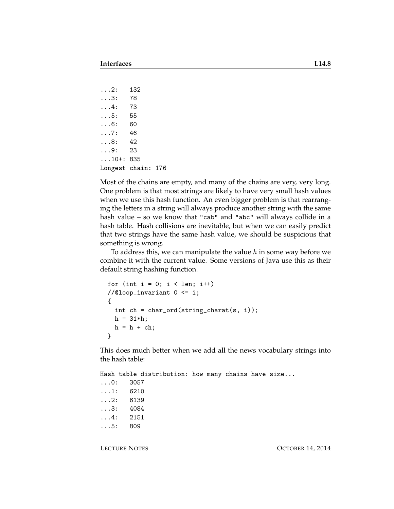```
...2: 132
...3: 78
...4: 73
...5: 55
...6: 60
...7: 46
...8: 42
...9: 23
...10+: 835
Longest chain: 176
```
Most of the chains are empty, and many of the chains are very, very long. One problem is that most strings are likely to have very small hash values when we use this hash function. An even bigger problem is that rearranging the letters in a string will always produce another string with the same hash value – so we know that "cab" and "abc" will always collide in a hash table. Hash collisions are inevitable, but when we can easily predict that two strings have the same hash value, we should be suspicious that something is wrong.

To address this, we can manipulate the value  $h$  in some way before we combine it with the current value. Some versions of Java use this as their default string hashing function.

```
for (int i = 0; i < len; i++)//@loop_invariant 0 <= i;
{
  int ch = char_{ord}(string_{char}(\mathbf{s}, i));h = 31 * h;h = h + ch;}
```
This does much better when we add all the news vocabulary strings into the hash table:

Hash table distribution: how many chains have size... ...0: 3057 ...1: 6210 ...2: 6139 ...3: 4084 ...4: 2151 ...5: 809

LECTURE NOTES **OCTOBER 14, 2014**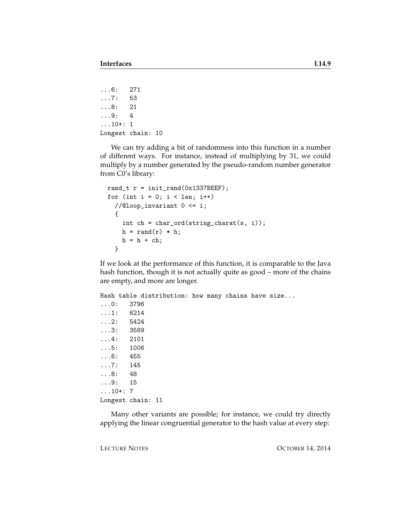```
...6: 271
...7: 53
...8: 21
...9: 4
...10+: 1
Longest chain: 10
```
We can try adding a bit of randomness into this function in a number of different ways. For instance, instead of multiplying by 31, we could multiply by a number generated by the pseudo-random number generator from C0's library:

```
rand_t r = init\_rand(0x1337BEEF);
for (int i = 0; i < len; i++)//@loop_invariant 0 <= i;
  {
    int ch = char_ord(string_charat(s, i));
   h = rand(r) * h;h = h + ch;}
```
If we look at the performance of this function, it is comparable to the Java hash function, though it is not actually quite as good – more of the chains are empty, and more are longer.

```
Hash table distribution: how many chains have size...
...0: 3796
...1: 6214
...2: 5424
...3: 3589
...4: 2101
...5: 1006
...6: 455
...7: 145
...8: 48
...9: 15
...10+: 7
Longest chain: 11
```
Many other variants are possible; for instance, we could try directly applying the linear congruential generator to the hash value at every step:

LECTURE NOTES **OCTOBER 14, 2014**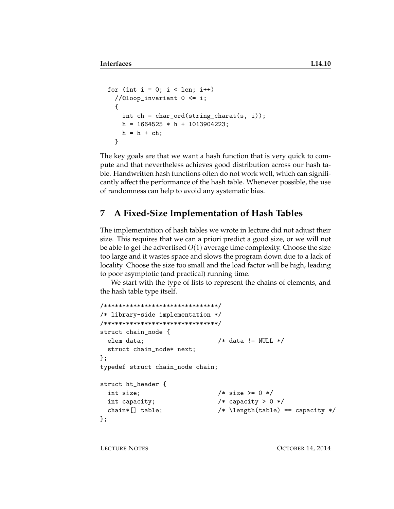```
for (int i = 0; i < len; i++)//@loop_invariant 0 \leq i;{
    int ch = char_ord(string_charat(s, i));
   h = 1664525 * h + 1013904223;h = h + ch;}
```
The key goals are that we want a hash function that is very quick to compute and that nevertheless achieves good distribution across our hash table. Handwritten hash functions often do not work well, which can significantly affect the performance of the hash table. Whenever possible, the use of randomness can help to avoid any systematic bias.

## **7 A Fixed-Size Implementation of Hash Tables**

The implementation of hash tables we wrote in lecture did not adjust their size. This requires that we can a priori predict a good size, or we will not be able to get the advertised  $O(1)$  average time complexity. Choose the size too large and it wastes space and slows the program down due to a lack of locality. Choose the size too small and the load factor will be high, leading to poor asymptotic (and practical) running time.

We start with the type of lists to represent the chains of elements, and the hash table type itself.

```
/*******************************/
/* library-side implementation */
/*******************************/
struct chain_node {
 elem data; /* data != NULL */struct chain_node* next;
};
typedef struct chain_node chain;
struct ht_header {
 int size; /* size > = 0 */int capacity; /* capacity > 0 */chain*[] table; /* \left(\frac{\text{table}}{\text{table}}\right) == \text{capacity} */};
```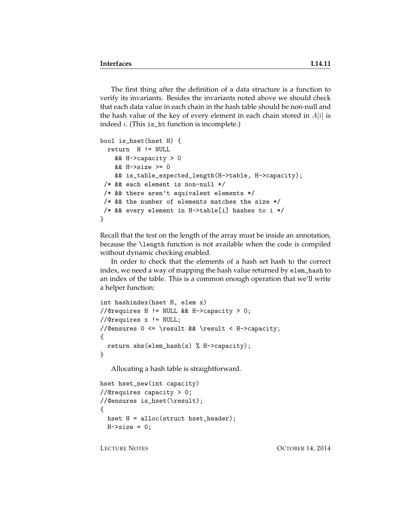The first thing after the definition of a data structure is a function to verify its invariants. Besides the invariants noted above we should check that each data value in each chain in the hash table should be non-null and the hash value of the key of every element in each chain stored in  $A[i]$  is indeed i. (This is\_ht function is incomplete.)

```
bool is_hset(hset H) {
 return H != NULL
   && H->capacity > 0
   && H->size >= 0
   && is_table_expected_length(H->table, H->capacity);
 /* && each element is non-null */
/* && there aren't equivalent elements */
/* && the number of elements matches the size *//* && every element in H->table[i] hashes to i */
}
```
Recall that the test on the length of the array must be inside an annotation, because the \length function is not available when the code is compiled without dynamic checking enabled.

In order to check that the elements of a hash set hash to the correct index, we need a way of mapping the hash value returned by elem\_hash to an index of the table. This is a common enough operation that we'll write a helper function:

```
int hashindex(hset H, elem x)
//@requires H != NULL && H->capacity > 0;
//@requires x != NULL;
//@ensures 0 <= \result && \result < H->capacity;
{
 return abs(elem\_hash(x) % H->capacity);}
```
Allocating a hash table is straightforward.

```
hset hset_new(int capacity)
//@requires capacity > 0;
//@ensures is_hset(\result);
{
  hset H = alloc(struct hset_header);
  H\rightarrow size = 0;
```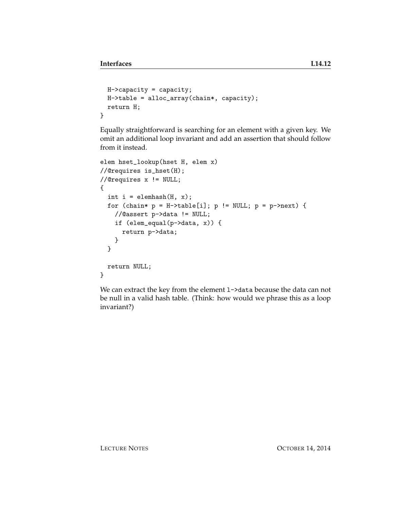```
H->capacity = capacity;
 H->table = alloc_array(chain*, capacity);
  return H;
}
```
Equally straightforward is searching for an element with a given key. We omit an additional loop invariant and add an assertion that should follow from it instead.

```
elem hset_lookup(hset H, elem x)
//@requires is_hset(H);
//@requires x != NULL;
{
  int i = \text{elements}(H, x);
  for (chain* p = H-\text{stable}[i]; p := NULL; p = p-\text{next}) {
    //@assert p->data != NULL;
    if (elem_equal(p->data, x)) {
      return p->data;
    }
  }
  return NULL;
}
```
We can extract the key from the element 1->data because the data can not be null in a valid hash table. (Think: how would we phrase this as a loop invariant?)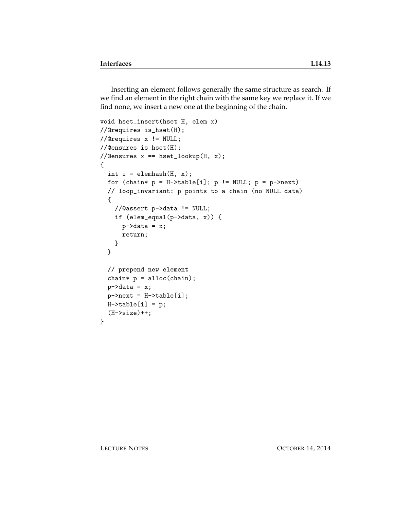Inserting an element follows generally the same structure as search. If we find an element in the right chain with the same key we replace it. If we find none, we insert a new one at the beginning of the chain.

```
void hset_insert(hset H, elem x)
//@requires is_hset(H);
//@requires x != NULL;
//@ensures is_hset(H);
//@ensures x == hset_lookup(H, x);
{
  int i = \text{elements}(H, x);
  for (chain* p = H-\text{stable}[i]; p == NULL; p = p-\text{next})
  // loop_invariant: p points to a chain (no NULL data)
  {
    //@assert p->data != NULL;
    if (elem_equal(p->data, x)) {
      p->data = x;
      return;
    }
  }
  // prepend new element
  chain* p = alloc(chain);
  p->data = x;
  p->next = H->table[i];
 H-\gttable[i] = p;(H->size)++;}
```